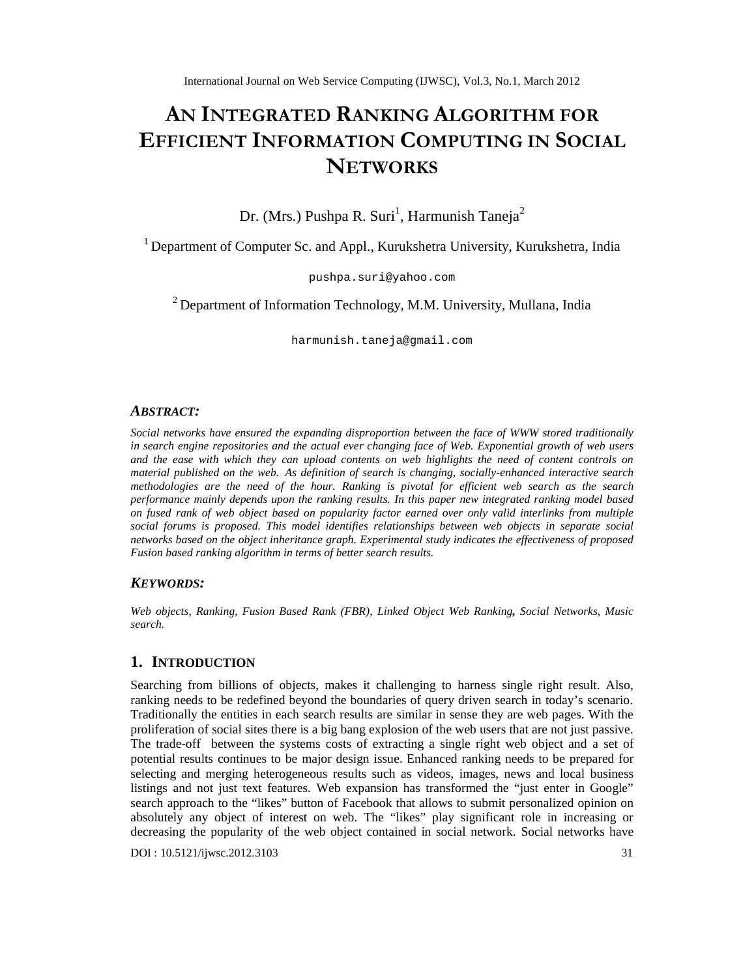# AN INTEGRATER BINKINGALGORITHM FOR EFFICIENNIFORMATION MPUTING SONCIAL NETWORKS

Dr. (Mrs.) Pushpa R. SuriHarmunish Taneja

<sup>1</sup> Department of Computer Sand Appl, Kurukshetra University Kurukshetra, India

pushpa.s[uri@yahoo.com](mailto:suri@yahoo.com)

<sup>2</sup> Department of Information Technology, M.M. University, Mullana, India

harmunish.ta[neja@gmail.com](mailto:taneja@gmail.com)

### ABSTRACT:

Social networks have ensured the expanding disproportioneled the face of WW stored traditionally in search engine repositories and the actual ever changing face of EM pericial growth of web users and the ease with which they can upload contents on web highlights the need of content controls on material published on the webAs definition of search is changing, social manced interactive search methodologies are the need of the holdenking is pivotal for efficient web searchs the search performancemainly depends upon the ranking results this paper new integrated anking mode based on fused rank of web object based on popularity factor earned over only valid interlion has multiple social forums is proposed This model identifies relationships betwee web objects in separate ocial networksbased on the object inheritance graph. Experimental study indicates the effectiveness of proposed Fusion based ranking algorithm in terms of better search results.

### KEYWORDS:

Web objects, Ranking,usion Based Rank (FBR) Linked Object Web Ranking Social Networks, Music search.

# 1. I NTRODUCTION

Searching from billions of objects, makes it challenging to harness single right result. Also, ranking needs to be redefined beyond the boundaries of query driven search in today€s scenario. Traditionally the entities in eth search results are similar in sense they are web pages. With the proliferation of social sites there is a big bang explosion of the web users that are not just passive. The tradeoff between the systems costs of extracting a single right web object and of potential results continues to be major design is absolution ranking needs to breepared for selecting and merging heterogeneous results such as videoges, news and local business listings and not just text feature. Web expansion has train and the  $\cdot$ just enter in Google, searchapproachto the •likes, button of Facebookhat allows to submit personalized opinion on absolutely any object of interest on wethe •likes, play significant role in increasing or decreasing the popularity of ethweb object contained in social networe of networks have

DOI : 10.5121/ijwsc.2012.3103 31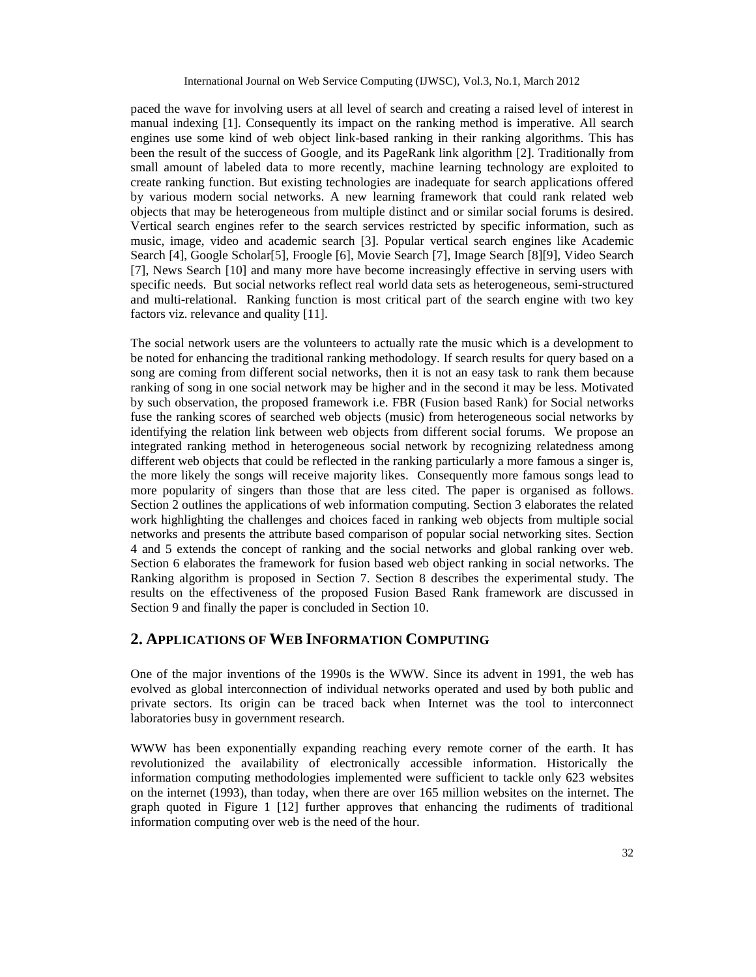paced the wave for involving users at all level of search and creating a raised level of interest in manual indexing [1]. Consequently its impact on the ranking method is imperative. All search engines use some kind of web object link-based ranking in their ranking algorithms. This has been the result of the success of Google, and its PageRank link algorithm [2]. Traditionally from small amount of labeled data to more recently, machine learning technology are exploited to create ranking function. But existing technologies are inadequate for search applications offered by various modern social networks. A new learning framework that could rank related web objects that may be heterogeneous from multiple distinct and or similar social forums is desired. Vertical search engines refer to the search services restricted by specific information, such as music, image, video and academic search [3]. Popular vertical search engines like Academic Search [4], Google Scholar[5], Froogle [6], Movie Search [7], Image Search [8][9], Video Search [7], News Search [10] and many more have become increasingly effective in serving users with specific needs. But social networks reflect real world data sets as heterogeneous, semi-structured and multi-relational. Ranking function is most critical part of the search engine with two key factors viz. relevance and quality [11].

The social network users are the volunteers to actually rate the music which is a development to be noted for enhancing the traditional ranking methodology. If search results for query based on a song are coming from different social networks, then it is not an easy task to rank them because ranking of song in one social network may be higher and in the second it may be less. Motivated by such observation, the proposed framework i.e. FBR (Fusion based Rank) for Social networks fuse the ranking scores of searched web objects (music) from heterogeneous social networks by identifying the relation link between web objects from different social forums. We propose an integrated ranking method in heterogeneous social network by recognizing relatedness among different web objects that could be reflected in the ranking particularly a more famous a singer is, the more likely the songs will receive majority likes. Consequently more famous songs lead to more popularity of singers than those that are less cited. The paper is organised as follows. Section 2 outlines the applications of web information computing. Section 3 elaborates the related work highlighting the challenges and choices faced in ranking web objects from multiple social networks and presents the attribute based comparison of popular social networking sites. Section 4 and 5 extends the concept of ranking and the social networks and global ranking over web. Section 6 elaborates the framework for fusion based web object ranking in social networks. The Ranking algorithm is proposed in Section 7. Section 8 describes the experimental study. The results on the effectiveness of the proposed Fusion Based Rank framework are discussed in Section 9 and finally the paper is concluded in Section 10.

# **2. APPLICATIONS OF WEB INFORMATION COMPUTING**

One of the major inventions of the 1990s is the WWW. Since its advent in 1991, the web has evolved as global interconnection of individual networks operated and used by both public and private sectors. Its origin can be traced back when Internet was the tool to interconnect laboratories busy in government research.

WWW has been exponentially expanding reaching every remote corner of the earth. It has revolutionized the availability of electronically accessible information. Historically the information computing methodologies implemented were sufficient to tackle only 623 websites on the internet (1993), than today, when there are over 165 million websites on the internet. The graph quoted in Figure 1 [12] further approves that enhancing the rudiments of traditional information computing over web is the need of the hour.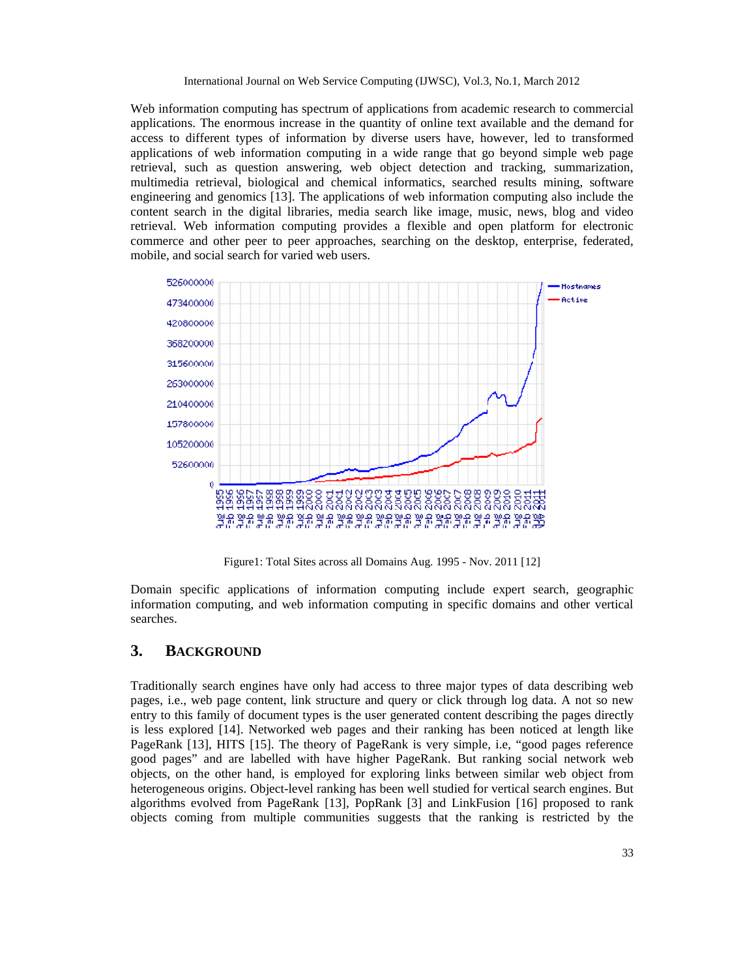Web information computing has spectrum of applications from academic research to commercial applications. The enormous increase in the quantity of online text available and the demand for access to different types of information by diverse users have, however, led to transformed applications of web information computing in a wide range that go beyond simple web page retrieval, such as question answering, web object detection and tracking, summarization, multimedia retrieval, biological and chemical informatics, searched results mining, software engineering and genomics [13]. The applications of web information computing also include the content search in the digital libraries, media search like image, music, news, blog and video retrieval. Web information computing provides a flexible and open platform for electronic commerce and other peer to peer approaches, searching on the desktop, enterprise, federated, mobile, and social search for varied web users.



Figure1: Total Sites across all Domains Aug. 1995 - Nov. 2011 [12]

Domain specific applications of information computing include expert search, geographic information computing, and web information computing in specific domains and other vertical searches.

# **3. BACKGROUND**

Traditionally search engines have only had access to three major types of data describing web pages, i.e., web page content, link structure and query or click through log data. A not so new entry to this family of document types is the user generated content describing the pages directly is less explored [14]. Networked web pages and their ranking has been noticed at length like PageRank [13], HITS [15]. The theory of PageRank is very simple, i.e, "good pages reference good pages" and are labelled with have higher PageRank. But ranking social network web objects, on the other hand, is employed for exploring links between similar web object from heterogeneous origins. Object-level ranking has been well studied for vertical search engines. But algorithms evolved from PageRank [13], PopRank [3] and LinkFusion [16] proposed to rank objects coming from multiple communities suggests that the ranking is restricted by the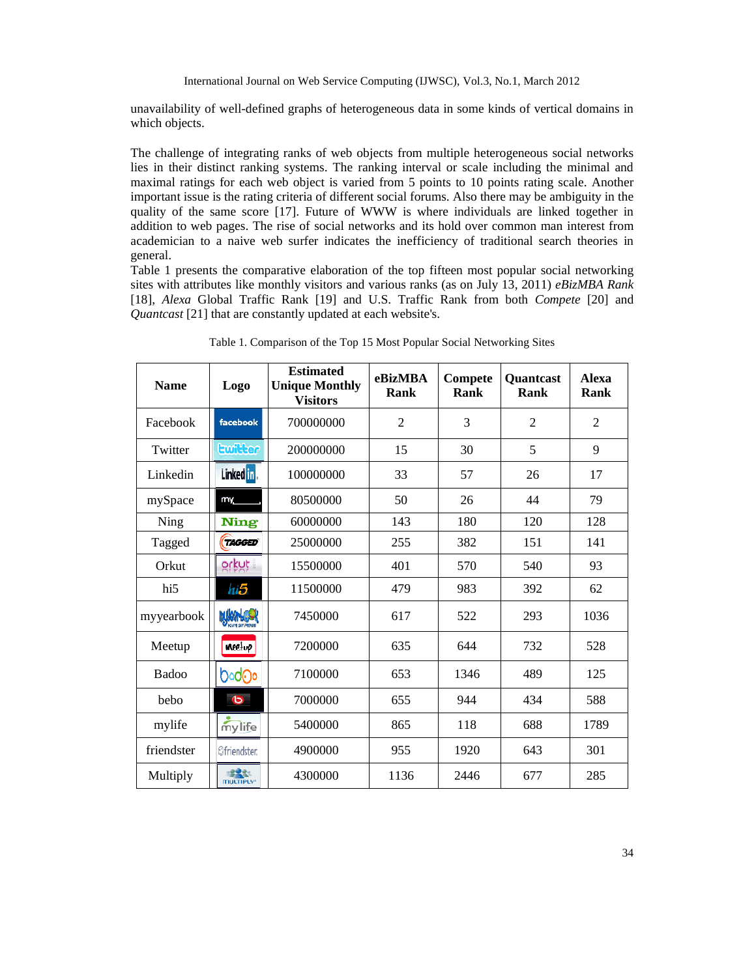unavailability of well-defined graphs of heterogeneous data in some kinds of vertical domains in which objects.

The challenge of integrating ranks of web objects from multiple heterogeneous social networks lies in their distinct ranking systems. The ranking interval or scale including the minimal and maximal ratings for each web object is varied from 5 points to 10 points rating scale. Another important issue is the rating criteria of different social forums. Also there may be ambiguity in the quality of the same score [17]. Future of WWW is where individuals are linked together in addition to web pages. The rise of social networks and its hold over common man interest from academician to a naive web surfer indicates the inefficiency of traditional search theories in general.

Table 1 presents the comparative elaboration of the top fifteen most popular social networking sites with attributes like monthly visitors and various ranks (as on July 13, 2011) *eBizMBA Rank* [18], *Alexa* Global Traffic Rank [19] and U.S. Traffic Rank from both *Compete* [20] and *Quantcast* [21] that are constantly updated at each website's.

| <b>Name</b>     | Logo                  | <b>Estimated</b><br><b>Unique Monthly</b><br><b>Visitors</b> | eBizMBA<br>Rank | Compete<br>Rank | Quantcast<br><b>Rank</b> | <b>Alexa</b><br>Rank |
|-----------------|-----------------------|--------------------------------------------------------------|-----------------|-----------------|--------------------------|----------------------|
| Facebook        | facebook              | 700000000                                                    | $\overline{2}$  | 3               | $\overline{2}$           | $\overline{2}$       |
| Twitter         | Ewitter               | 200000000                                                    | 15              | 30              | 5                        | 9                    |
| Linkedin        | Linked in.            | 100000000                                                    | 33              | 57              | 26                       | 17                   |
| mySpace         | my_                   | 80500000                                                     | 50              | 26              | 44                       | 79                   |
| <b>Ning</b>     | <b>Ning</b>           | 60000000                                                     | 143             | 180             | 120                      | 128                  |
| Tagged          | <b>TAGGED</b>         | 25000000                                                     | 255             | 382             | 151                      | 141                  |
| Orkut           | orkut                 | 15500000                                                     | 401             | 570             | 540                      | 93                   |
| hi <sub>5</sub> | hi5                   | 11500000                                                     | 479             | 983             | 392                      | 62                   |
| myyearbook      | <b>MUON SER</b>       | 7450000                                                      | 617             | 522             | 293                      | 1036                 |
| Meetup          | <b>Meetup</b>         | 7200000                                                      | 635             | 644             | 732                      | 528                  |
| Badoo           | bad⊙o                 | 7100000                                                      | 653             | 1346            | 489                      | 125                  |
| bebo            | $\bullet$             | 7000000                                                      | 655             | 944             | 434                      | 588                  |
| mylife          | mylife                | 5400000                                                      | 865             | 118             | 688                      | 1789                 |
| friendster      | ©friendster,          | 4900000                                                      | 955             | 1920            | 643                      | 301                  |
| Multiply        | multiply <sup>®</sup> | 4300000                                                      | 1136            | 2446            | 677                      | 285                  |

Table 1. Comparison of the Top 15 Most Popular Social Networking Sites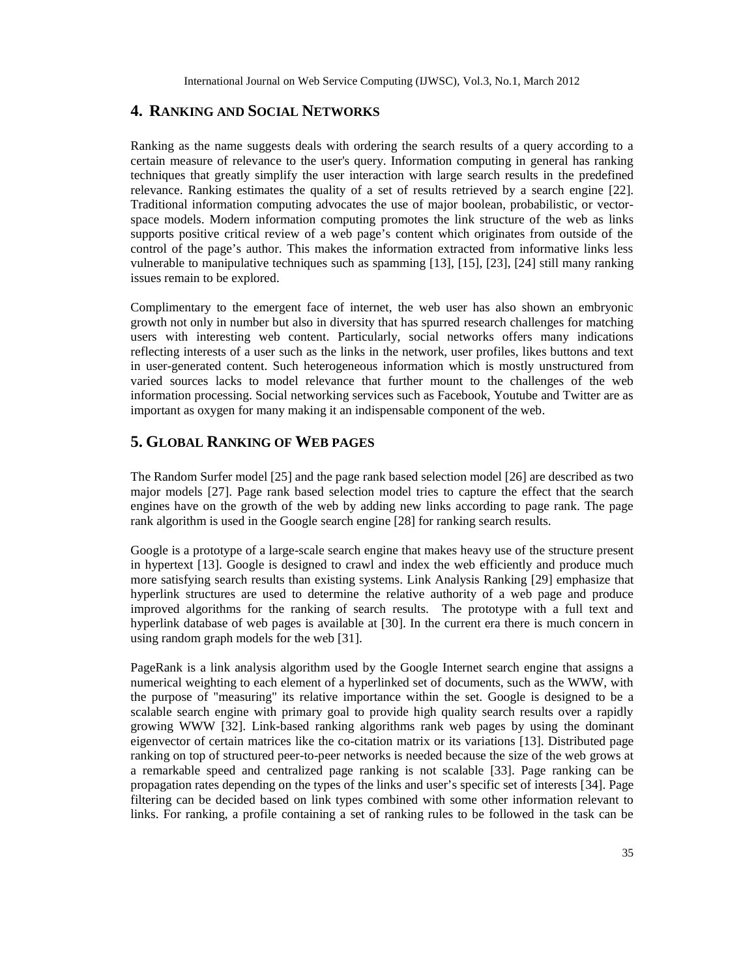# **4. RANKING AND SOCIAL NETWORKS**

Ranking as the name suggests deals with ordering the search results of a query according to a certain measure of relevance to the user's query. Information computing in general has ranking techniques that greatly simplify the user interaction with large search results in the predefined relevance. Ranking estimates the quality of a set of results retrieved by a search engine [22]. Traditional information computing advocates the use of major boolean, probabilistic, or vectorspace models. Modern information computing promotes the link structure of the web as links supports positive critical review of a web page's content which originates from outside of the control of the page's author. This makes the information extracted from informative links less vulnerable to manipulative techniques such as spamming [13], [15], [23], [24] still many ranking issues remain to be explored.

Complimentary to the emergent face of internet, the web user has also shown an embryonic growth not only in number but also in diversity that has spurred research challenges for matching users with interesting web content. Particularly, social networks offers many indications reflecting interests of a user such as the links in the network, user profiles, likes buttons and text in user-generated content. Such heterogeneous information which is mostly unstructured from varied sources lacks to model relevance that further mount to the challenges of the web information processing. Social networking services such as Facebook, Youtube and Twitter are as important as oxygen for many making it an indispensable component of the web.

# **5. GLOBAL RANKING OF WEB PAGES**

The Random Surfer model [25] and the page rank based selection model [26] are described as two major models [27]. Page rank based selection model tries to capture the effect that the search engines have on the growth of the web by adding new links according to page rank. The page rank algorithm is used in the Google search engine [28] for ranking search results.

Google is a prototype of a large-scale search engine that makes heavy use of the structure present in hypertext [13]. Google is designed to crawl and index the web efficiently and produce much more satisfying search results than existing systems. Link Analysis Ranking [29] emphasize that hyperlink structures are used to determine the relative authority of a web page and produce improved algorithms for the ranking of search results. The prototype with a full text and hyperlink database of web pages is available at [30]. In the current era there is much concern in using random graph models for the web [31].

PageRank is a link analysis algorithm used by the Google Internet search engine that assigns a numerical weighting to each element of a hyperlinked set of documents, such as the WWW, with the purpose of "measuring" its relative importance within the set. Google is designed to be a scalable search engine with primary goal to provide high quality search results over a rapidly growing WWW [32]. Link-based ranking algorithms rank web pages by using the dominant eigenvector of certain matrices like the co-citation matrix or its variations [13]. Distributed page ranking on top of structured peer-to-peer networks is needed because the size of the web grows at a remarkable speed and centralized page ranking is not scalable [33]. Page ranking can be propagation rates depending on the types of the links and user's specific set of interests [34]. Page filtering can be decided based on link types combined with some other information relevant to links. For ranking, a profile containing a set of ranking rules to be followed in the task can be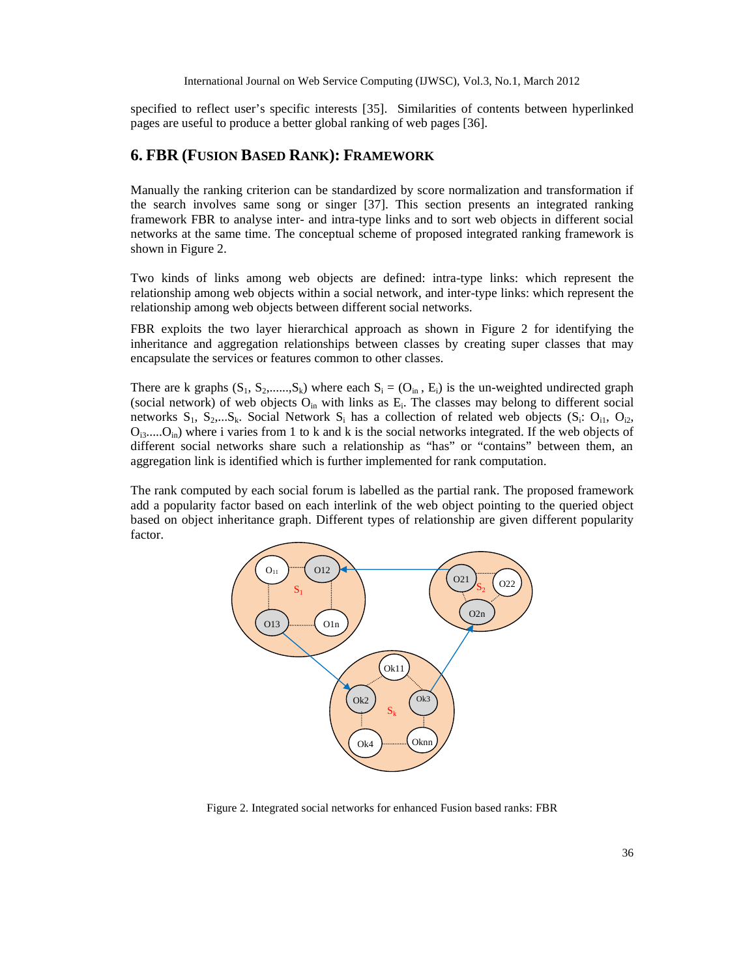specified to reflect user's specific interests [35]. Similarities of contents between hyperlinked pages are useful to produce a better global ranking of web pages [36].

# **6. FBR (FUSION BASED RANK): FRAMEWORK**

Manually the ranking criterion can be standardized by score normalization and transformation if the search involves same song or singer [37]. This section presents an integrated ranking framework FBR to analyse inter- and intra-type links and to sort web objects in different social networks at the same time. The conceptual scheme of proposed integrated ranking framework is shown in Figure 2.

Two kinds of links among web objects are defined: intra-type links: which represent the relationship among web objects within a social network, and inter-type links: which represent the relationship among web objects between different social networks.

FBR exploits the two layer hierarchical approach as shown in Figure 2 for identifying the inheritance and aggregation relationships between classes by creating super classes that may encapsulate the services or features common to other classes.

There are k graphs  $(S_1, S_2, \ldots, S_k)$  where each  $S_i = (O_{in}, E_i)$  is the un-weighted undirected graph (social network) of web objects  $O<sub>in</sub>$  with links as  $E<sub>i</sub>$ . The classes may belong to different social networks  $S_1$ ,  $S_2,...S_k$ . Social Network  $S_i$  has a collection of related web objects  $(S_i: O_{i1}, O_{i2},$  $O_{i3}$ ..... $O_{in}$ ) where i varies from 1 to k and k is the social networks integrated. If the web objects of different social networks share such a relationship as "has" or "contains" between them, an aggregation link is identified which is further implemented for rank computation.

The rank computed by each social forum is labelled as the partial rank. The proposed framework add a popularity factor based on each interlink of the web object pointing to the queried object based on object inheritance graph. Different types of relationship are given different popularity factor.



Figure 2. Integrated social networks for enhanced Fusion based ranks: FBR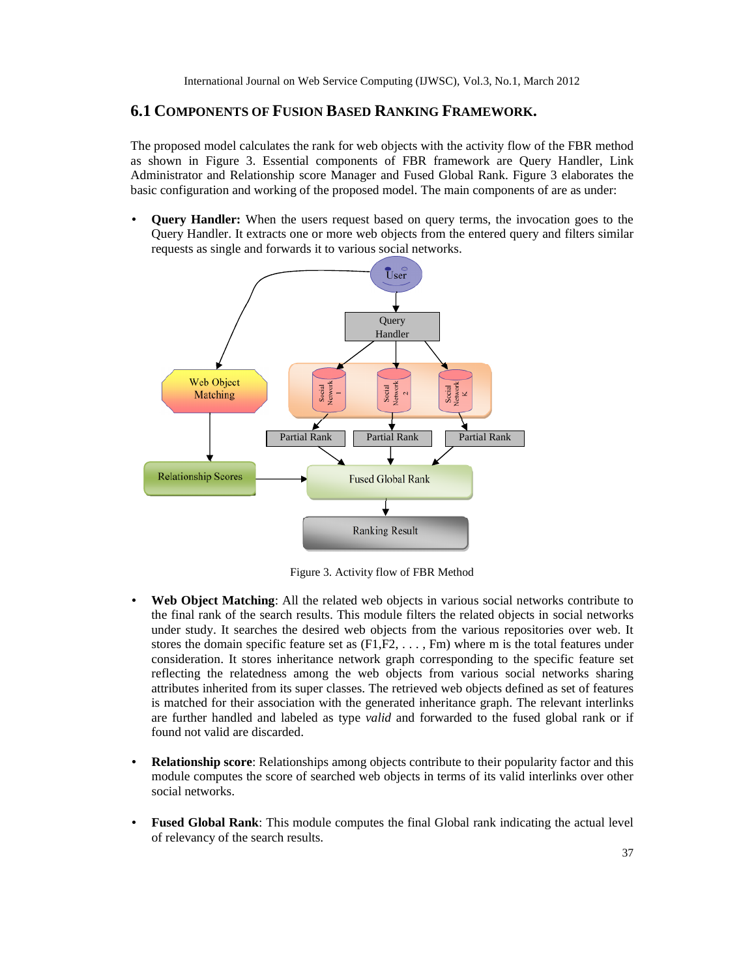# **6.1 COMPONENTS OF FUSION BASED RANKING FRAMEWORK.**

The proposed model calculates the rank for web objects with the activity flow of the FBR method as shown in Figure 3. Essential components of FBR framework are Query Handler, Link Administrator and Relationship score Manager and Fused Global Rank. Figure 3 elaborates the basic configuration and working of the proposed model. The main components of are as under:

• **Query Handler:** When the users request based on query terms, the invocation goes to the Query Handler. It extracts one or more web objects from the entered query and filters similar requests as single and forwards it to various social networks.



Figure 3. Activity flow of FBR Method

- Web Object Matching: All the related web objects in various social networks contribute to the final rank of the search results. This module filters the related objects in social networks under study. It searches the desired web objects from the various repositories over web. It stores the domain specific feature set as  $(F1,F2,\ldots, Fm)$  where m is the total features under consideration. It stores inheritance network graph corresponding to the specific feature set reflecting the relatedness among the web objects from various social networks sharing attributes inherited from its super classes. The retrieved web objects defined as set of features is matched for their association with the generated inheritance graph. The relevant interlinks are further handled and labeled as type *valid* and forwarded to the fused global rank or if found not valid are discarded.
- **Relationship score:** Relationships among objects contribute to their popularity factor and this module computes the score of searched web objects in terms of its valid interlinks over other social networks.
- **Fused Global Rank**: This module computes the final Global rank indicating the actual level of relevancy of the search results.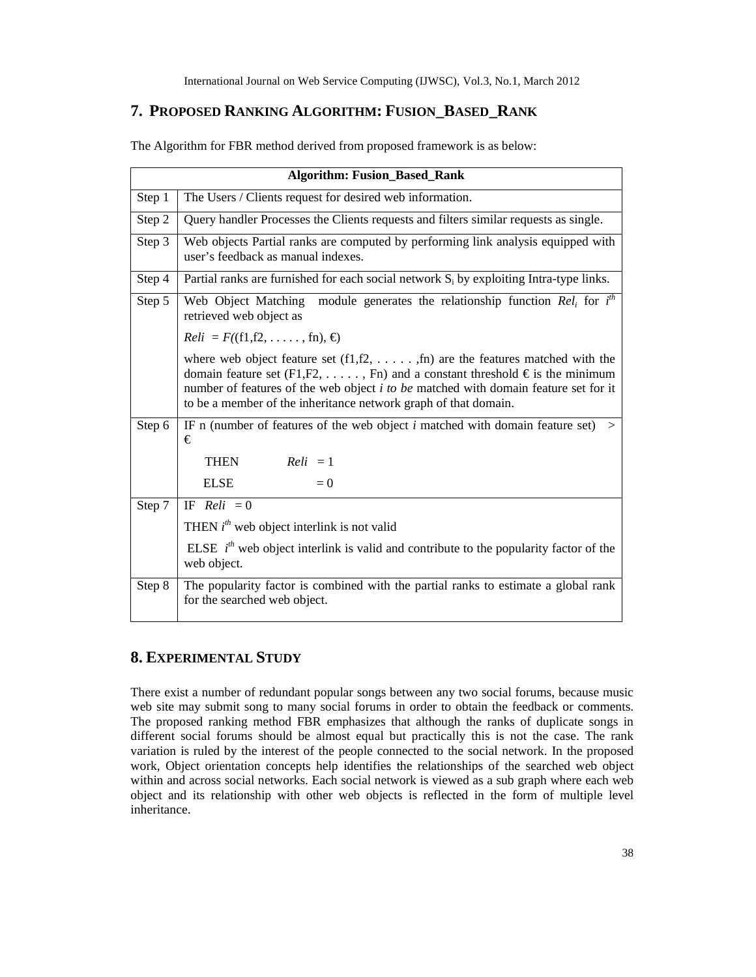# **7. PROPOSED RANKING ALGORITHM: FUSION\_BASED\_RANK**

The Algorithm for FBR method derived from proposed framework is as below:

| <b>Algorithm: Fusion_Based_Rank</b> |                                                                                                                                                                                                                                                                                                                                        |  |  |  |  |  |  |
|-------------------------------------|----------------------------------------------------------------------------------------------------------------------------------------------------------------------------------------------------------------------------------------------------------------------------------------------------------------------------------------|--|--|--|--|--|--|
| Step 1                              | The Users / Clients request for desired web information.                                                                                                                                                                                                                                                                               |  |  |  |  |  |  |
| Step 2                              | Query handler Processes the Clients requests and filters similar requests as single.                                                                                                                                                                                                                                                   |  |  |  |  |  |  |
| Step 3                              | Web objects Partial ranks are computed by performing link analysis equipped with<br>user's feedback as manual indexes.                                                                                                                                                                                                                 |  |  |  |  |  |  |
| Step 4                              | Partial ranks are furnished for each social network S <sub>i</sub> by exploiting Intra-type links.                                                                                                                                                                                                                                     |  |  |  |  |  |  |
| Step 5                              | Web Object Matching module generates the relationship function $Rel_i$ for $i^{th}$<br>retrieved web object as                                                                                                                                                                                                                         |  |  |  |  |  |  |
|                                     | $Reli = F(f1, f2, \ldots, fn), \oplus$                                                                                                                                                                                                                                                                                                 |  |  |  |  |  |  |
|                                     | where web object feature set $(f1,f2,\ldots,fn)$ are the features matched with the<br>domain feature set (F1, F2, , Fn) and a constant threshold $\epsilon$ is the minimum<br>number of features of the web object $i$ to be matched with domain feature set for it<br>to be a member of the inheritance network graph of that domain. |  |  |  |  |  |  |
| Step 6                              | IF n (number of features of the web object $i$ matched with domain feature set)<br>><br>€                                                                                                                                                                                                                                              |  |  |  |  |  |  |
|                                     | $Reli = 1$<br><b>THEN</b>                                                                                                                                                                                                                                                                                                              |  |  |  |  |  |  |
|                                     | <b>ELSE</b><br>$= 0$                                                                                                                                                                                                                                                                                                                   |  |  |  |  |  |  |
| Step 7                              | IF $Reli = 0$                                                                                                                                                                                                                                                                                                                          |  |  |  |  |  |  |
|                                     | THEN $i^{th}$ web object interlink is not valid                                                                                                                                                                                                                                                                                        |  |  |  |  |  |  |
|                                     | ELSE $i^{th}$ web object interlink is valid and contribute to the popularity factor of the<br>web object.                                                                                                                                                                                                                              |  |  |  |  |  |  |
| Step 8                              | The popularity factor is combined with the partial ranks to estimate a global rank<br>for the searched web object.                                                                                                                                                                                                                     |  |  |  |  |  |  |

# **8. EXPERIMENTAL STUDY**

There exist a number of redundant popular songs between any two social forums, because music web site may submit song to many social forums in order to obtain the feedback or comments. The proposed ranking method FBR emphasizes that although the ranks of duplicate songs in different social forums should be almost equal but practically this is not the case. The rank variation is ruled by the interest of the people connected to the social network. In the proposed work, Object orientation concepts help identifies the relationships of the searched web object within and across social networks. Each social network is viewed as a sub graph where each web object and its relationship with other web objects is reflected in the form of multiple level inheritance.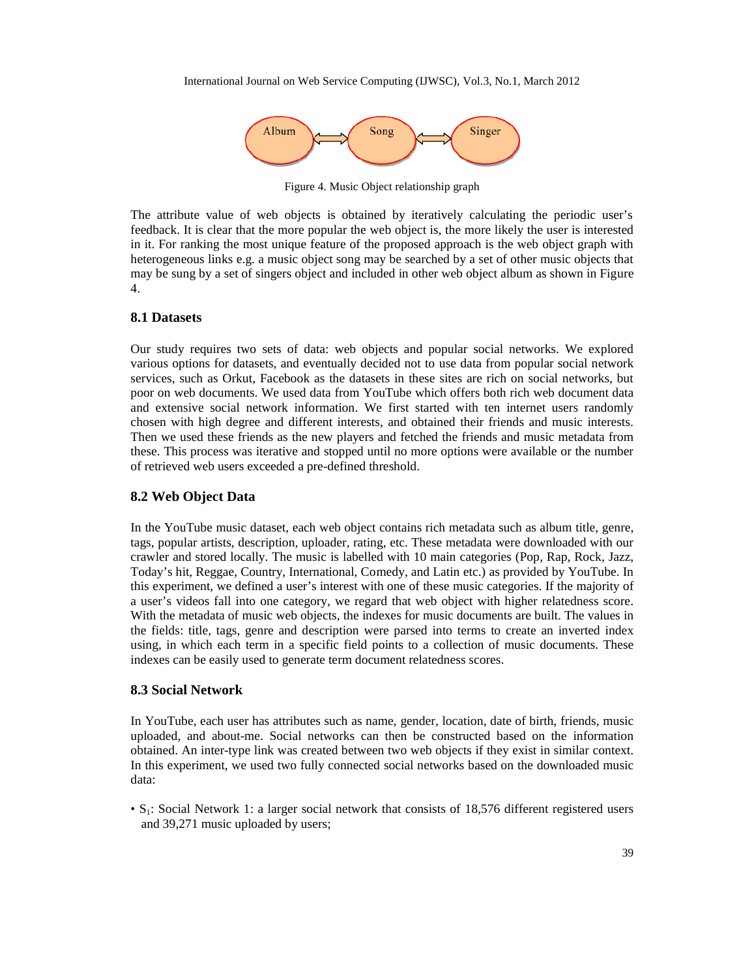

Figure 4. Music Object relationship graph

The attribute value of web objects is obtained by iteratively calculating the periodic user's feedback. It is clear that the more popular the web object is, the more likely the user is interested in it. For ranking the most unique feature of the proposed approach is the web object graph with heterogeneous links e.g. a music object song may be searched by a set of other music objects that may be sung by a set of singers object and included in other web object album as shown in Figure 4.

### **8.1 Datasets**

Our study requires two sets of data: web objects and popular social networks. We explored various options for datasets, and eventually decided not to use data from popular social network services, such as Orkut, Facebook as the datasets in these sites are rich on social networks, but poor on web documents. We used data from YouTube which offers both rich web document data and extensive social network information. We first started with ten internet users randomly chosen with high degree and different interests, and obtained their friends and music interests. Then we used these friends as the new players and fetched the friends and music metadata from these. This process was iterative and stopped until no more options were available or the number of retrieved web users exceeded a pre-defined threshold.

### **8.2 Web Object Data**

In the YouTube music dataset, each web object contains rich metadata such as album title, genre, tags, popular artists, description, uploader, rating, etc. These metadata were downloaded with our crawler and stored locally. The music is labelled with 10 main categories (Pop, Rap, Rock, Jazz, Today's hit, Reggae, Country, International, Comedy, and Latin etc.) as provided by YouTube. In this experiment, we defined a user's interest with one of these music categories. If the majority of a user's videos fall into one category, we regard that web object with higher relatedness score. With the metadata of music web objects, the indexes for music documents are built. The values in the fields: title, tags, genre and description were parsed into terms to create an inverted index using, in which each term in a specific field points to a collection of music documents. These indexes can be easily used to generate term document relatedness scores.

#### **8.3 Social Network**

In YouTube, each user has attributes such as name, gender, location, date of birth, friends, music uploaded, and about-me. Social networks can then be constructed based on the information obtained. An inter-type link was created between two web objects if they exist in similar context. In this experiment, we used two fully connected social networks based on the downloaded music data:

•  $S_1$ : Social Network 1: a larger social network that consists of 18,576 different registered users and 39,271 music uploaded by users;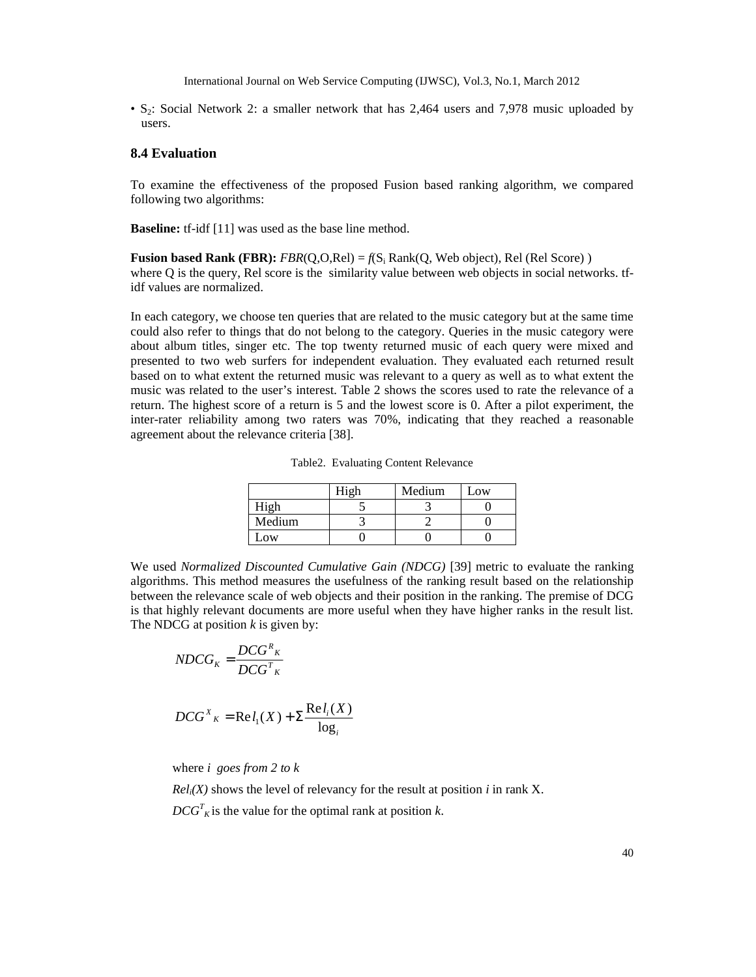•  $S_2$ : Social Network 2: a smaller network that has 2,464 users and 7,978 music uploaded by users.

### **8.4 Evaluation**

To examine the effectiveness of the proposed Fusion based ranking algorithm, we compared following two algorithms:

**Baseline:** tf-idf [11] was used as the base line method.

**Fusion based Rank (FBR):**  $FBR(Q, O, Rel) = f(S_i, Rank(Q, Web object), Rel (Rel Score))$ where Q is the query, Rel score is the similarity value between web objects in social networks. tfidf values are normalized.

In each category, we choose ten queries that are related to the music category but at the same time could also refer to things that do not belong to the category. Queries in the music category were about album titles, singer etc. The top twenty returned music of each query were mixed and presented to two web surfers for independent evaluation. They evaluated each returned result based on to what extent the returned music was relevant to a query as well as to what extent the music was related to the user's interest. Table 2 shows the scores used to rate the relevance of a return. The highest score of a return is 5 and the lowest score is 0. After a pilot experiment, the inter-rater reliability among two raters was 70%, indicating that they reached a reasonable agreement about the relevance criteria [38].

|        | High | Medium | Low |
|--------|------|--------|-----|
| High   |      |        |     |
| Medium |      |        |     |
| Low    |      |        |     |

Table2. Evaluating Content Relevance

We used *Normalized Discounted Cumulative Gain (NDCG)* [39] metric to evaluate the ranking algorithms. This method measures the usefulness of the ranking result based on the relationship between the relevance scale of web objects and their position in the ranking. The premise of DCG is that highly relevant documents are more useful when they have higher ranks in the result list. The NDCG at position *k* is given by:

$$
NDCG_K = \frac{DCG^R_K}{DCG^T_K}
$$

$$
DCG^{X}{}_{K} = \text{Re} l_{1}(X) + \Sigma \frac{\text{Re} l_{i}(X)}{\log_{i}}
$$

where *i goes from 2 to k*

 $Rel<sub>i</sub>(X)$  shows the level of relevancy for the result at position *i* in rank X.

 $DCG<sup>T</sup><sub>K</sub>$  is the value for the optimal rank at position *k*.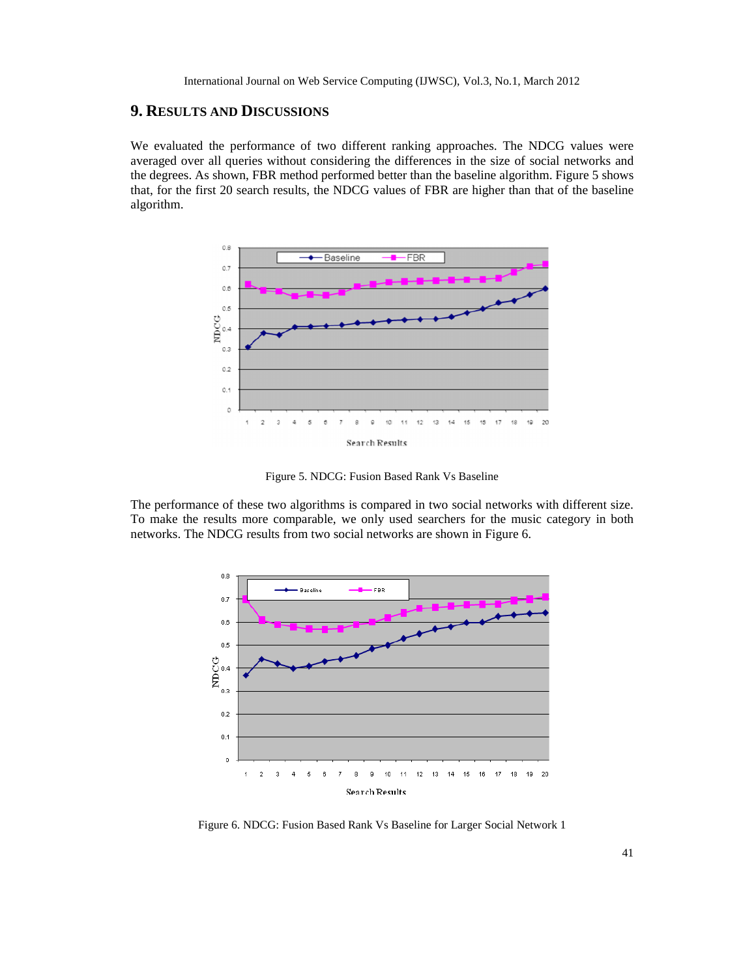# **9. RESULTS AND DISCUSSIONS**

We evaluated the performance of two different ranking approaches. The NDCG values were averaged over all queries without considering the differences in the size of social networks and the degrees. As shown, FBR method performed better than the baseline algorithm. Figure 5 shows that, for the first 20 search results, the NDCG values of FBR are higher than that of the baseline algorithm.



Figure 5. NDCG: Fusion Based Rank Vs Baseline

The performance of these two algorithms is compared in two social networks with different size. To make the results more comparable, we only used searchers for the music category in both networks. The NDCG results from two social networks are shown in Figure 6.



Figure 6. NDCG: Fusion Based Rank Vs Baseline for Larger Social Network 1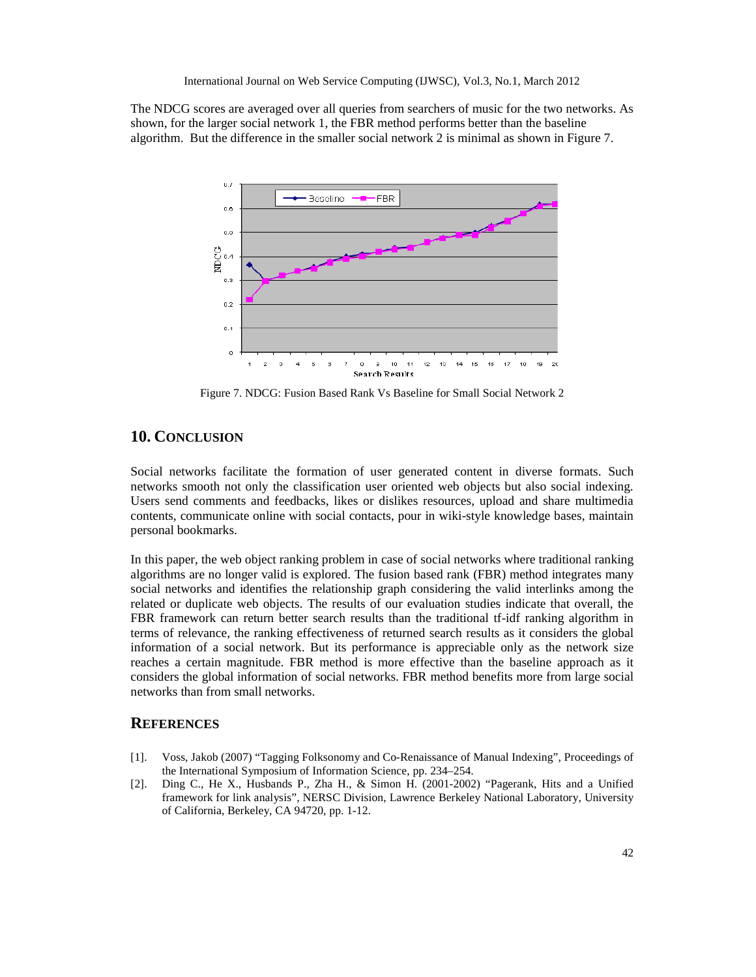The NDCG scores are averaged over all queries from searchers of music for the two networks. As shown, for the larger social network 1, the FBR method performs better than the baseline algorithm. But the difference in the smaller social network 2 is minimal as shown in Figure 7.



Figure 7. NDCG: Fusion Based Rank Vs Baseline for Small Social Network 2

# **10. CONCLUSION**

Social networks facilitate the formation of user generated content in diverse formats. Such networks smooth not only the classification user oriented web objects but also social indexing. Users send comments and feedbacks, likes or dislikes resources, upload and share multimedia contents, communicate online with social contacts, pour in wiki-style knowledge bases, maintain personal bookmarks.

In this paper, the web object ranking problem in case of social networks where traditional ranking algorithms are no longer valid is explored. The fusion based rank (FBR) method integrates many social networks and identifies the relationship graph considering the valid interlinks among the related or duplicate web objects. The results of our evaluation studies indicate that overall, the FBR framework can return better search results than the traditional tf-idf ranking algorithm in terms of relevance, the ranking effectiveness of returned search results as it considers the global information of a social network. But its performance is appreciable only as the network size reaches a certain magnitude. FBR method is more effective than the baseline approach as it considers the global information of social networks. FBR method benefits more from large social networks than from small networks.

### **REFERENCES**

- [1]. Voss, Jakob (2007) "Tagging Folksonomy and Co-Renaissance of Manual Indexing", Proceedings of the International Symposium of Information Science, pp. 234–254.
- [2]. Ding C., He X., Husbands P., Zha H., & Simon H. (2001-2002) "Pagerank, Hits and a Unified framework for link analysis", NERSC Division, Lawrence Berkeley National Laboratory, University of California, Berkeley, CA 94720, pp. 1-12.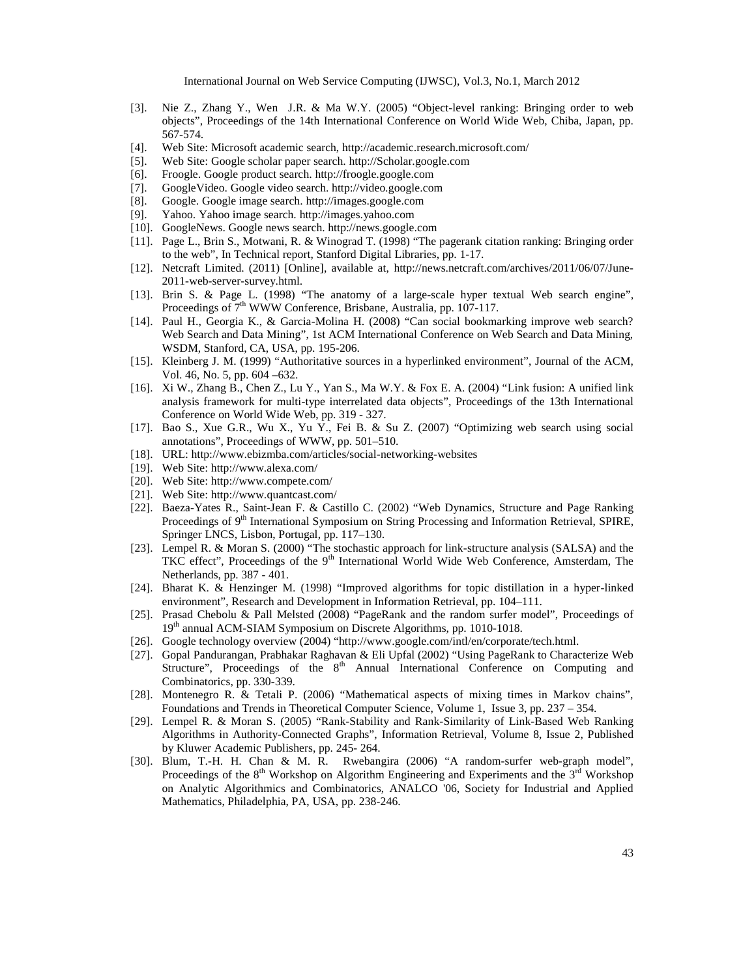- [3]. Nie Z., Zhang Y., Wen J.R. & Ma W.Y. (2005) Objectlevel ranking: Bringing order to web objects, Proceedings of the 14thernationalConferenceon World Wide WebChiba, Japan, pp. 567-574.
- [4]. Web Site:Microsoft academic sear[ch,ttp://academic.research.microsoft.co](http://academic.research.microsoft.com/)m/
- [5]. Web Site:Google scholar paper searchtup://Scholar.google.com
- [6]. Froogle. Google product seard thtp://froogle.google.com
- [7]. GoogleVide Google video searchttp://video.google.com
- [8]. Google. Google image seard thtp://images.google.com
- [9]. Yahoo. Yahoo image seard<http://images.yahoo.com>
- [10]. GoogleNews. Google news searbttp://news.google.com
- [11]. PageL., Brin S.,Motwani,R. & WinogradT. (1998)•The pagerank citation ranking: Bringing order to the web, In Technical report, Stanford Digitalbraries,pp. 1-17.
- [12]. Netcraft Limited. (2011) [Online], available dtitp://news.netcraft.com/archives/2011/06/07/June 2011-web-serversurvey.html
- [13]. Brin S. & Page L. (1998) The anatomy of a large cale hyper textual Web search engine Proceedings of<sup>th</sup> WWW Conference, Brisbane, Australiap. 107117.
- [14]. Paul H., Georgia K., & GarciMolina H. (2008) •Can social bookmarking improve web search? Web Search and Data Mining, 1st ACM International Conference on Web Search and Data Mining, WSDM, Stanford, CA, USA, pp. 19206.
- [15]. KleinbergJ. M. (1999) Authoritative sources in a hyperlinked environment burnal of the ACM Vol. 46, No. 5, pp. 604.632.
- [16]. Xi W., ZhangB., ChenZ., Lu Y., YanS.,Ma W.Y. & FoxE. A. (2004)•Link fusion:A unified link analysis framework for multiype interrelated data objects Proceedings of the 13th ternational Conferenceon World Wide Web, p. 319- 327.
- [17]. Bao S., Xue G.R., Wu X., Yu Y., Fei B. & Su Z. (2007) •Optimizing web search using social annotations, Proceedings of WWW, pp. 501.510.
- [18]. URL: [http://www.ebizmba.com/articles/social](http://www.ebizmba.com/articles/social-networking-websites)etworkingwebsites
- [19]. Web Site[:http://www.alexa.com](http://www.alexa.com/)/
- [20]. Web Site[:http://www.compete.com](http://www.compete.com/)/
- [21]. Web Site[:http://www.quantcast.com](http://www.quantcast.com/)/
- [22]. BaezaYates R., Saintlean F. & Castillo C. (2002) b Dynamics, Structure and Page Ranking Proceedings of<sup>th</sup> International Symposium on String Processing and Information RetreRRIE, Springer LNCS, Lisbon, Portugalp. 117.130.
- [23]. Lempel R.& Moran S.(2000)•The stochastic approach for linatructureanalysis (SALSA) and the TKC effect,, Proceedings of the<sup>th</sup>9International World Wide Web Conference, Amsterdam, The Netherlands, pp. 387401.
- [24]. Bharat K. & Henzinger M. (1998) •Improved algorithms for topic distillation in a hyperhed environment, Resarch and Development in **brimation Retrieval**, pp. 10411.
- [25]. Prasad Chebol& Pall Melsted(2008) PageRank and the random surfer modeltoceedings of 19<sup>th</sup> annual ACMSIAM Symposium on Discrete Algorithmsp. 10101018.
- [26]. Google technology overview(2004)•[http://www.google.com/intl/en/corporate/tech.h](http://www.google.com/intl/en/corporate/tech.html)tml
- [27]. Gopal Pandurangan, Prabhakar Raghawardi Upfal (2002)•Using PageRank to Characterize Web Structure, Proceedings of the  $h$ <sup>8</sup> Annual International Conference on Computing and Combinatorics, pp. 33039.
- [28]. Montenegro R.& Tetali P. (2006)•Mathematical aspects of mixing times in Markov chains, Foundations and Trends in Theoretical Computer Science and Issue 3, pp237..354.
- [29]. Lempel R.& Moran S.(2005) •Rank-Stability and Rank-Similarity of Link-Based Web Ranking Algorithms in AuthorityConnected Graphs.Information Retrieval Volume 8, Issue 2Published by Kluwer Academic Publishersp. 245 264.
- [30]. Blum, T.-H. H. Chan & M. R. Rwebangira(2006) •A random-surfer webgraph model, Proceedings of the 8<sup>th</sup> Workshop on Algorithm Engineering and Experiments and the 3 rkshop on Analytic Algorithmics and Combinatorics, ANALCO '06, Society for Industrial and Applied Mathematics, Philadelphia, PA, USA, pp. 2246.